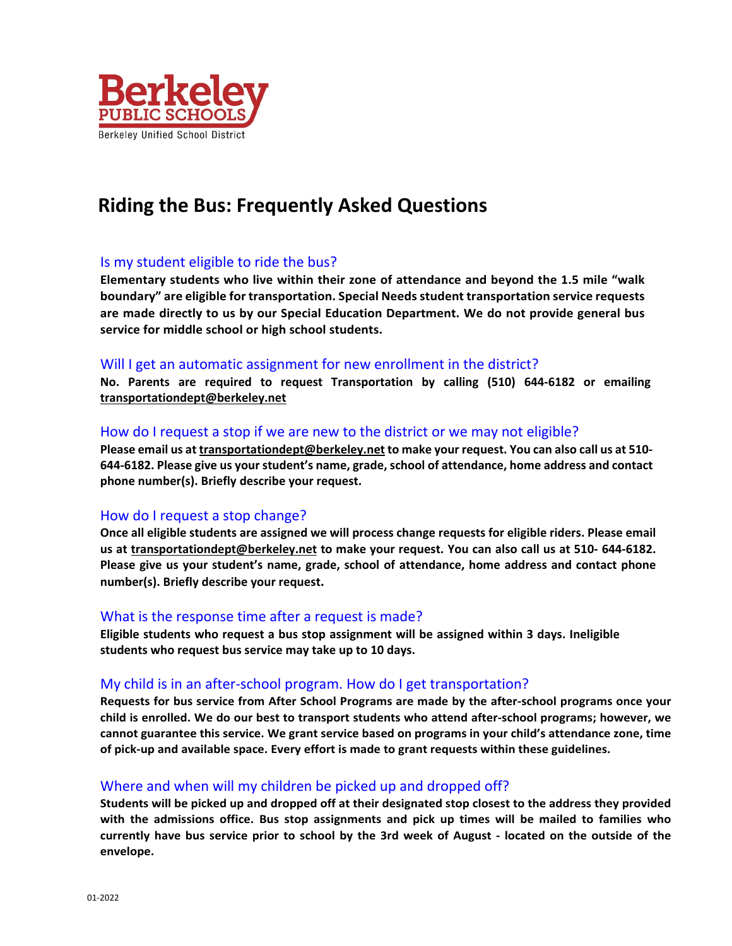

# **Riding the Bus: Frequently Asked Questions**

## Is my student eligible to ride the bus?

**Elementary students who live within their zone of attendance and beyond the 1.5 mile "walk boundary" are eligible for transportation. Special Needsstudent transportation service requests are made directly to us by our Special Education Department. We do not provide general bus service for middle school or high school students.**

#### Will I get an automatic assignment for new enrollment in the district?

**No. Parents are required to request Transportation by calling (510) 644‐6182 or emailing transportationdept@berkeley.net**

#### How do I request a stop if we are new to the district or we may not eligible?

**Please email us at transportationdept@berkeley.net to make your request. You can also call us at 510‐ 644‐6182. Please give us your student's name, grade, school of attendance, home address and contact phone number(s). Briefly describe your request.**

#### How do I request a stop change?

**Once all eligible students are assigned we will process change requests for eligible riders. Please email us at transportationdept@berkeley.net to make your request. You can also call us at 510‐ 644‐6182. Please give us your student's name, grade, school of attendance, home address and contact phone number(s). Briefly describe your request.**

#### What is the response time after a request is made?

**Eligible students who request a bus stop assignment will be assigned within 3 days. Ineligible students who request bus service may take up to 10 days.**

#### My child is in an after‐school program. How do I get transportation?

Requests for bus service from After School Programs are made by the after-school programs once your child is enrolled. We do our best to transport students who attend after-school programs; however, we **cannot guarantee this service. We grant service based on programs in your child's attendance zone, time of pick‐up and available space. Every effort is made to grant requests within these guidelines.**

#### Where and when will my children be picked up and dropped off?

Students will be picked up and dropped off at their designated stop closest to the address they provided **with the admissions office. Bus stop assignments and pick up times will be mailed to families who** currently have bus service prior to school by the 3rd week of August - located on the outside of the **envelope.**